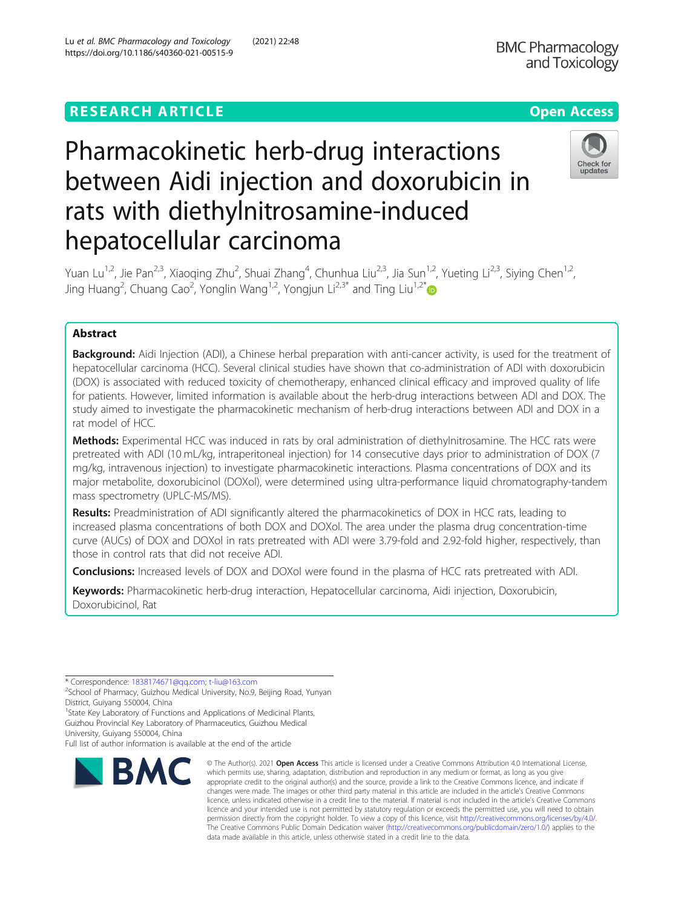hepatocellular carcinoma

# Check for updates

Yuan Lu<sup>1,2</sup>, Jie Pan<sup>2,3</sup>, Xiaoqing Zhu<sup>2</sup>, Shuai Zhang<sup>4</sup>, Chunhua Liu<sup>2,3</sup>, Jia Sun<sup>1,2</sup>, Yueting Li<sup>2,3</sup>, Siying Chen<sup>1,2</sup>, Jing Huang<sup>2</sup>, Chuang Cao<sup>2</sup>, Yonglin Wang<sup>1,2</sup>, Yongjun Li<sup>2,3\*</sup> and Ting Liu<sup>1,2\*</sup>

Pharmacokinetic herb-drug interactions

rats with diethylnitrosamine-induced

between Aidi injection and doxorubicin in

## Abstract

**Background:** Aidi Injection (ADI), a Chinese herbal preparation with anti-cancer activity, is used for the treatment of hepatocellular carcinoma (HCC). Several clinical studies have shown that co-administration of ADI with doxorubicin (DOX) is associated with reduced toxicity of chemotherapy, enhanced clinical efficacy and improved quality of life for patients. However, limited information is available about the herb-drug interactions between ADI and DOX. The study aimed to investigate the pharmacokinetic mechanism of herb-drug interactions between ADI and DOX in a rat model of HCC.

Methods: Experimental HCC was induced in rats by oral administration of diethylnitrosamine. The HCC rats were pretreated with ADI (10 mL/kg, intraperitoneal injection) for 14 consecutive days prior to administration of DOX (7 mg/kg, intravenous injection) to investigate pharmacokinetic interactions. Plasma concentrations of DOX and its major metabolite, doxorubicinol (DOXol), were determined using ultra-performance liquid chromatography-tandem mass spectrometry (UPLC-MS/MS).

Results: Preadministration of ADI significantly altered the pharmacokinetics of DOX in HCC rats, leading to increased plasma concentrations of both DOX and DOXol. The area under the plasma drug concentration-time curve (AUCs) of DOX and DOXol in rats pretreated with ADI were 3.79-fold and 2.92-fold higher, respectively, than those in control rats that did not receive ADI.

**Conclusions:** Increased levels of DOX and DOXol were found in the plasma of HCC rats pretreated with ADI.

Keywords: Pharmacokinetic herb-drug interaction, Hepatocellular carcinoma, Aidi injection, Doxorubicin, Doxorubicinol, Rat

\* Correspondence: [1838174671@qq.com;](mailto:1838174671@qq.com) [t-liu@163.com](mailto:t-liu@163.com) <sup>2</sup>

Full list of author information is available at the end of the article



<sup>©</sup> The Author(s), 2021 **Open Access** This article is licensed under a Creative Commons Attribution 4.0 International License, which permits use, sharing, adaptation, distribution and reproduction in any medium or format, as long as you give appropriate credit to the original author(s) and the source, provide a link to the Creative Commons licence, and indicate if changes were made. The images or other third party material in this article are included in the article's Creative Commons licence, unless indicated otherwise in a credit line to the material. If material is not included in the article's Creative Commons licence and your intended use is not permitted by statutory regulation or exceeds the permitted use, you will need to obtain permission directly from the copyright holder. To view a copy of this licence, visit [http://creativecommons.org/licenses/by/4.0/.](http://creativecommons.org/licenses/by/4.0/) The Creative Commons Public Domain Dedication waiver [\(http://creativecommons.org/publicdomain/zero/1.0/](http://creativecommons.org/publicdomain/zero/1.0/)) applies to the data made available in this article, unless otherwise stated in a credit line to the data.

<sup>&</sup>lt;sup>2</sup>School of Pharmacy, Guizhou Medical University, No.9, Beijing Road, Yunyan District, Guiyang 550004, China

<sup>&</sup>lt;sup>1</sup>State Key Laboratory of Functions and Applications of Medicinal Plants, Guizhou Provincial Key Laboratory of Pharmaceutics, Guizhou Medical University, Guiyang 550004, China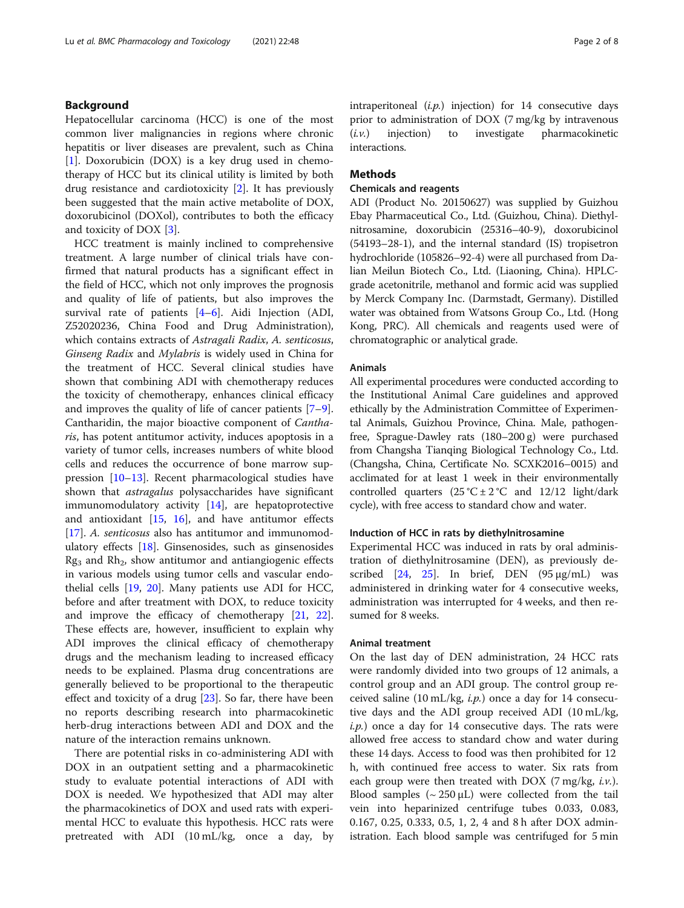## Background

Hepatocellular carcinoma (HCC) is one of the most common liver malignancies in regions where chronic hepatitis or liver diseases are prevalent, such as China [[1\]](#page-6-0). Doxorubicin (DOX) is a key drug used in chemotherapy of HCC but its clinical utility is limited by both drug resistance and cardiotoxicity [\[2](#page-6-0)]. It has previously been suggested that the main active metabolite of DOX, doxorubicinol (DOXol), contributes to both the efficacy and toxicity of DOX [\[3](#page-6-0)].

HCC treatment is mainly inclined to comprehensive treatment. A large number of clinical trials have confirmed that natural products has a significant effect in the field of HCC, which not only improves the prognosis and quality of life of patients, but also improves the survival rate of patients [\[4](#page-6-0)–[6](#page-6-0)]. Aidi Injection (ADI, Z52020236, China Food and Drug Administration), which contains extracts of Astragali Radix, A. senticosus, Ginseng Radix and Mylabris is widely used in China for the treatment of HCC. Several clinical studies have shown that combining ADI with chemotherapy reduces the toxicity of chemotherapy, enhances clinical efficacy and improves the quality of life of cancer patients [\[7](#page-6-0)–[9](#page-6-0)]. Cantharidin, the major bioactive component of Cantharis, has potent antitumor activity, induces apoptosis in a variety of tumor cells, increases numbers of white blood cells and reduces the occurrence of bone marrow suppression [[10](#page-6-0)–[13](#page-6-0)]. Recent pharmacological studies have shown that *astragalus* polysaccharides have significant immunomodulatory activity  $[14]$  $[14]$ , are hepatoprotective and antioxidant [\[15,](#page-6-0) [16\]](#page-6-0), and have antitumor effects [[17\]](#page-6-0). A. senticosus also has antitumor and immunomodulatory effects [\[18](#page-6-0)]. Ginsenosides, such as ginsenosides  $Rg<sub>3</sub>$  and  $Rh<sub>2</sub>$ , show antitumor and antiangiogenic effects in various models using tumor cells and vascular endothelial cells [\[19](#page-6-0), [20\]](#page-6-0). Many patients use ADI for HCC, before and after treatment with DOX, to reduce toxicity and improve the efficacy of chemotherapy [[21,](#page-6-0) [22](#page-6-0)]. These effects are, however, insufficient to explain why ADI improves the clinical efficacy of chemotherapy drugs and the mechanism leading to increased efficacy needs to be explained. Plasma drug concentrations are generally believed to be proportional to the therapeutic effect and toxicity of a drug [\[23](#page-6-0)]. So far, there have been no reports describing research into pharmacokinetic herb-drug interactions between ADI and DOX and the nature of the interaction remains unknown.

There are potential risks in co-administering ADI with DOX in an outpatient setting and a pharmacokinetic study to evaluate potential interactions of ADI with DOX is needed. We hypothesized that ADI may alter the pharmacokinetics of DOX and used rats with experimental HCC to evaluate this hypothesis. HCC rats were pretreated with ADI (10 mL/kg, once a day, by intraperitoneal  $(i.p.)$  injection) for 14 consecutive days prior to administration of DOX (7 mg/kg by intravenous  $(i.v.)$  injection) to investigate pharmacokinetic interactions.

### Methods

### Chemicals and reagents

ADI (Product No. 20150627) was supplied by Guizhou Ebay Pharmaceutical Co., Ltd. (Guizhou, China). Diethylnitrosamine, doxorubicin (25316–40-9), doxorubicinol (54193–28-1), and the internal standard (IS) tropisetron hydrochloride (105826–92-4) were all purchased from Dalian Meilun Biotech Co., Ltd. (Liaoning, China). HPLCgrade acetonitrile, methanol and formic acid was supplied by Merck Company Inc. (Darmstadt, Germany). Distilled water was obtained from Watsons Group Co., Ltd. (Hong Kong, PRC). All chemicals and reagents used were of chromatographic or analytical grade.

#### Animals

All experimental procedures were conducted according to the Institutional Animal Care guidelines and approved ethically by the Administration Committee of Experimental Animals, Guizhou Province, China. Male, pathogenfree, Sprague-Dawley rats (180–200 g) were purchased from Changsha Tianqing Biological Technology Co., Ltd. (Changsha, China, Certificate No. SCXK2016–0015) and acclimated for at least 1 week in their environmentally controlled quarters  $(25 \text{ °C} \pm 2 \text{ °C} \text{ and } 12/12 \text{ light/dark}$ cycle), with free access to standard chow and water.

#### Induction of HCC in rats by diethylnitrosamine

Experimental HCC was induced in rats by oral administration of diethylnitrosamine (DEN), as previously described  $[24, 25]$  $[24, 25]$  $[24, 25]$  $[24, 25]$ . In brief, DEN  $(95 \,\mu\text{g/mL})$  was administered in drinking water for 4 consecutive weeks, administration was interrupted for 4 weeks, and then resumed for 8 weeks.

#### Animal treatment

On the last day of DEN administration, 24 HCC rats were randomly divided into two groups of 12 animals, a control group and an ADI group. The control group received saline  $(10 \text{ mL/kg}, i.p.)$  once a day for 14 consecutive days and the ADI group received ADI (10 mL/kg,  $i.p.$ ) once a day for 14 consecutive days. The rats were allowed free access to standard chow and water during these 14 days. Access to food was then prohibited for 12 h, with continued free access to water. Six rats from each group were then treated with DOX (7 mg/kg,  $i.\nu$ .). Blood samples  $({\sim}250 \,\mu L)$  were collected from the tail vein into heparinized centrifuge tubes 0.033, 0.083, 0.167, 0.25, 0.333, 0.5, 1, 2, 4 and 8 h after DOX administration. Each blood sample was centrifuged for 5 min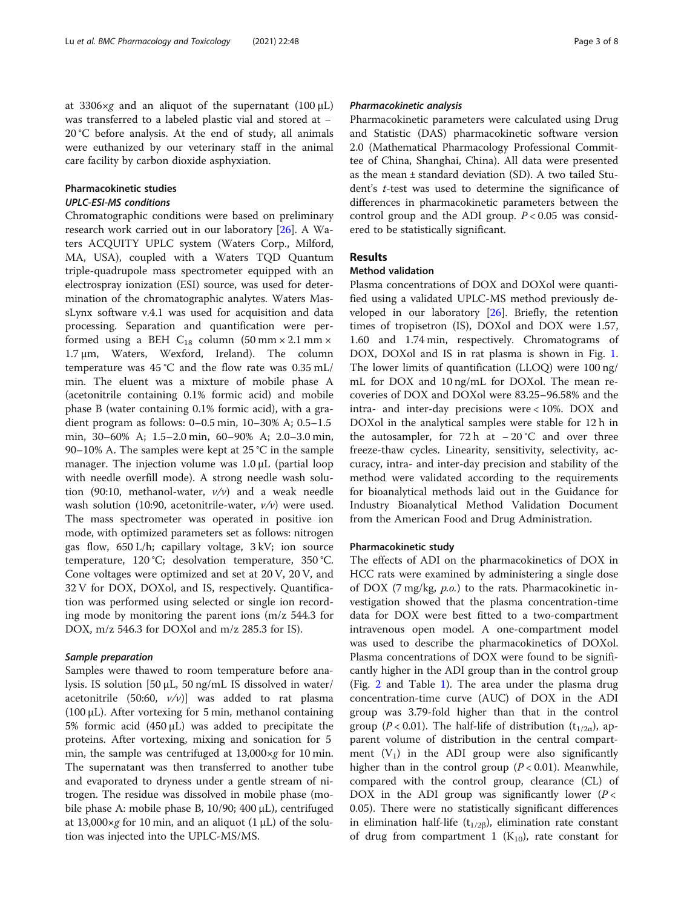at 3306 $\times$ g and an aliquot of the supernatant (100 µL) was transferred to a labeled plastic vial and stored at − 20 °C before analysis. At the end of study, all animals were euthanized by our veterinary staff in the animal care facility by carbon dioxide asphyxiation.

## Pharmacokinetic studies

## UPLC-ESI-MS conditions

Chromatographic conditions were based on preliminary research work carried out in our laboratory [[26\]](#page-6-0). A Waters ACQUITY UPLC system (Waters Corp., Milford, MA, USA), coupled with a Waters TQD Quantum triple-quadrupole mass spectrometer equipped with an electrospray ionization (ESI) source, was used for determination of the chromatographic analytes. Waters MassLynx software v.4.1 was used for acquisition and data processing. Separation and quantification were performed using a BEH  $C_{18}$  column (50 mm  $\times$  2.1 mm  $\times$ 1.7 μm, Waters, Wexford, Ireland). The column temperature was 45 °C and the flow rate was 0.35 mL/ min. The eluent was a mixture of mobile phase A (acetonitrile containing 0.1% formic acid) and mobile phase B (water containing 0.1% formic acid), with a gradient program as follows: 0–0.5 min, 10–30% A; 0.5–1.5 min, 30–60% A; 1.5–2.0 min, 60–90% A; 2.0–3.0 min, 90–10% A. The samples were kept at 25 °C in the sample manager. The injection volume was 1.0 μL (partial loop with needle overfill mode). A strong needle wash solution (90:10, methanol-water,  $v/v$ ) and a weak needle wash solution (10:90, acetonitrile-water,  $v/v$ ) were used. The mass spectrometer was operated in positive ion mode, with optimized parameters set as follows: nitrogen gas flow, 650 L/h; capillary voltage, 3 kV; ion source temperature, 120 °C; desolvation temperature, 350 °C. Cone voltages were optimized and set at 20 V, 20 V, and 32 V for DOX, DOXol, and IS, respectively. Quantification was performed using selected or single ion recording mode by monitoring the parent ions (m/z 544.3 for DOX, m/z 546.3 for DOXol and m/z 285.3 for IS).

## Sample preparation

Samples were thawed to room temperature before analysis. IS solution [50 μL, 50 ng/mL IS dissolved in water/ acetonitrile (50:60,  $v/v$ ) was added to rat plasma (100 μL). After vortexing for 5 min, methanol containing 5% formic acid (450 μL) was added to precipitate the proteins. After vortexing, mixing and sonication for 5 min, the sample was centrifuged at 13,000×g for 10 min. The supernatant was then transferred to another tube and evaporated to dryness under a gentle stream of nitrogen. The residue was dissolved in mobile phase (mobile phase A: mobile phase B, 10/90; 400 μL), centrifuged at 13,000 $\times$ g for 10 min, and an aliquot (1 µL) of the solution was injected into the UPLC-MS/MS.

## Pharmacokinetic analysis

Pharmacokinetic parameters were calculated using Drug and Statistic (DAS) pharmacokinetic software version 2.0 (Mathematical Pharmacology Professional Committee of China, Shanghai, China). All data were presented as the mean ± standard deviation (SD). A two tailed Student's t-test was used to determine the significance of differences in pharmacokinetic parameters between the control group and the ADI group.  $P < 0.05$  was considered to be statistically significant.

## Results

## Method validation

Plasma concentrations of DOX and DOXol were quantified using a validated UPLC-MS method previously developed in our laboratory [[26\]](#page-6-0). Briefly, the retention times of tropisetron (IS), DOXol and DOX were 1.57, 1.60 and 1.74 min, respectively. Chromatograms of DOX, DOXol and IS in rat plasma is shown in Fig. [1](#page-3-0). The lower limits of quantification (LLOQ) were 100 ng/ mL for DOX and 10 ng/mL for DOXol. The mean recoveries of DOX and DOXol were 83.25–96.58% and the intra- and inter-day precisions were < 10%. DOX and DOXol in the analytical samples were stable for 12 h in the autosampler, for  $72 h$  at  $-20$  °C and over three freeze-thaw cycles. Linearity, sensitivity, selectivity, accuracy, intra- and inter-day precision and stability of the method were validated according to the requirements for bioanalytical methods laid out in the Guidance for Industry Bioanalytical Method Validation Document from the American Food and Drug Administration.

## Pharmacokinetic study

The effects of ADI on the pharmacokinetics of DOX in HCC rats were examined by administering a single dose of DOX (7 mg/kg, p.o.) to the rats. Pharmacokinetic investigation showed that the plasma concentration-time data for DOX were best fitted to a two-compartment intravenous open model. A one-compartment model was used to describe the pharmacokinetics of DOXol. Plasma concentrations of DOX were found to be significantly higher in the ADI group than in the control group (Fig. [2](#page-3-0) and Table [1](#page-3-0)). The area under the plasma drug concentration-time curve (AUC) of DOX in the ADI group was 3.79-fold higher than that in the control group (P < 0.01). The half-life of distribution ( $t_{1/2\alpha}$ ), apparent volume of distribution in the central compartment  $(V_1)$  in the ADI group were also significantly higher than in the control group  $(P < 0.01)$ . Meanwhile, compared with the control group, clearance (CL) of DOX in the ADI group was significantly lower ( $P <$ 0.05). There were no statistically significant differences in elimination half-life ( $t_{1/2\beta}$ ), elimination rate constant of drug from compartment 1  $(K_{10})$ , rate constant for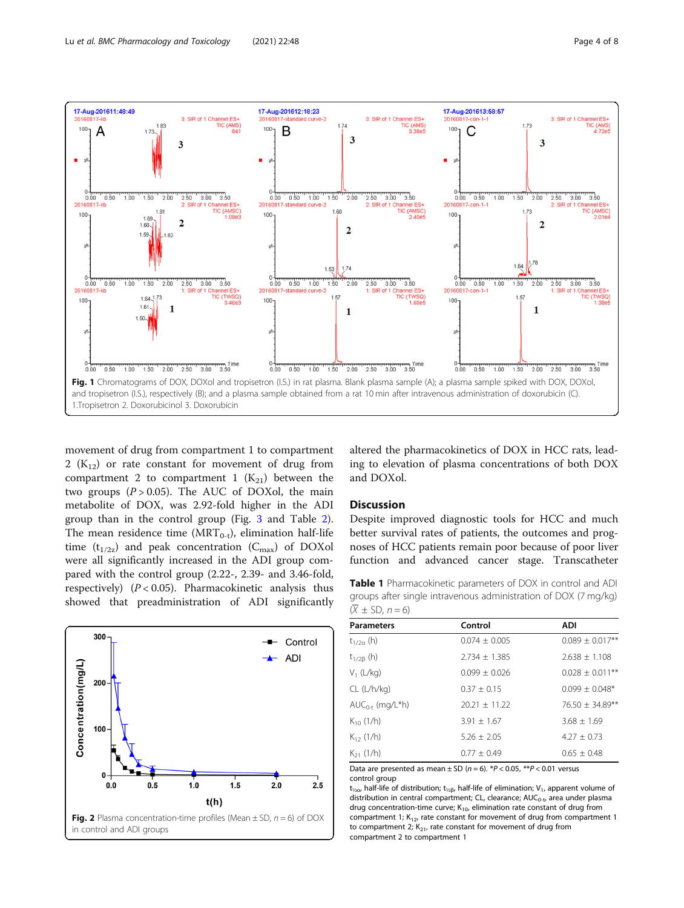<span id="page-3-0"></span>

movement of drug from compartment 1 to compartment 2 ( $K_{12}$ ) or rate constant for movement of drug from compartment 2 to compartment 1  $(K_{21})$  between the two groups  $(P > 0.05)$ . The AUC of DOXol, the main metabolite of DOX, was 2.92-fold higher in the ADI group than in the control group (Fig. [3](#page-4-0) and Table [2](#page-4-0)). The mean residence time ( $MRT_{0-t}$ ), elimination half-life time  $(t_{1/2z})$  and peak concentration  $(C_{\text{max}})$  of DOXol were all significantly increased in the ADI group compared with the control group (2.22-, 2.39- and 3.46-fold, respectively) ( $P < 0.05$ ). Pharmacokinetic analysis thus showed that preadministration of ADI significantly



altered the pharmacokinetics of DOX in HCC rats, leading to elevation of plasma concentrations of both DOX and DOXol.

#### **Discussion**

Despite improved diagnostic tools for HCC and much better survival rates of patients, the outcomes and prognoses of HCC patients remain poor because of poor liver function and advanced cancer stage. Transcatheter

Table 1 Pharmacokinetic parameters of DOX in control and ADI groups after single intravenous administration of DOX (7 mg/kg)  $(\overline{X} \pm SD, n = 6)$ 

| <b>Parameters</b>    | Control           | ADI                  |
|----------------------|-------------------|----------------------|
| $t_{1/2a}$ (h)       | $0.074 \pm 0.005$ | $0.089 \pm 0.017$ ** |
| $t_{1/2\beta}$ (h)   | $2.734 \pm 1.385$ | $2.638 \pm 1.108$    |
| $V_1$ (L/kg)         | $0.099 \pm 0.026$ | $0.028 \pm 0.011***$ |
| CL (L/h/kg)          | $0.37 + 0.15$     | $0.099 \pm 0.048$ *  |
| $AUC_{0-t}$ (mg/L*h) | $20.21 + 11.22$   | 76.50 ± 34.89**      |
| $K_{10}$ (1/h)       | $3.91 \pm 1.67$   | $3.68 \pm 1.69$      |
| $K_{12}$ (1/h)       | $5.26 + 2.05$     | $4.27 + 0.73$        |
| $K_{21}$ (1/h)       | $0.77 \pm 0.49$   | $0.65 \pm 0.48$      |

Data are presented as mean  $\pm$  SD (n = 6). \*P < 0.05, \*\*P < 0.01 versus control group

t<sub>1/2α</sub>, half-life of distribution; t<sub>1/2β</sub>, half-life of elimination; V<sub>1</sub>, apparent volume of distribution in central compartment; CL, clearance; AUC<sub>0-t</sub>, area under plasma drug concentration-time curve;  $K_{10}$ , elimination rate constant of drug from compartment 1;  $K_{12}$ , rate constant for movement of drug from compartment 1 to compartment 2;  $K_{21}$ , rate constant for movement of drug from compartment 2 to compartment 1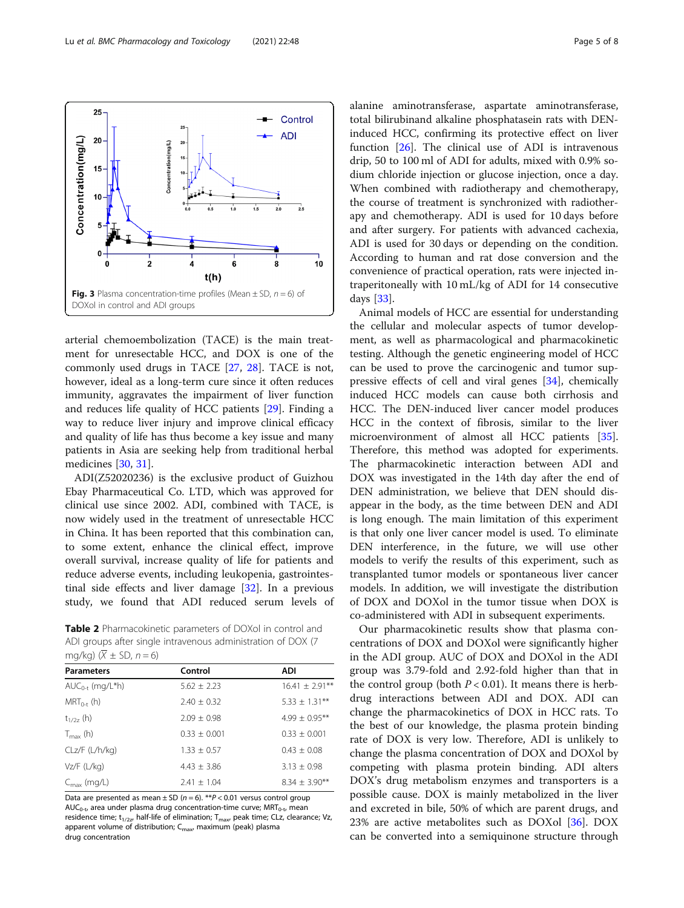<span id="page-4-0"></span>

arterial chemoembolization (TACE) is the main treatment for unresectable HCC, and DOX is one of the commonly used drugs in TACE [[27,](#page-6-0) [28\]](#page-6-0). TACE is not, however, ideal as a long-term cure since it often reduces immunity, aggravates the impairment of liver function and reduces life quality of HCC patients [[29](#page-6-0)]. Finding a way to reduce liver injury and improve clinical efficacy and quality of life has thus become a key issue and many patients in Asia are seeking help from traditional herbal medicines [[30](#page-6-0), [31](#page-6-0)].

ADI(Z52020236) is the exclusive product of Guizhou Ebay Pharmaceutical Co. LTD, which was approved for clinical use since 2002. ADI, combined with TACE, is now widely used in the treatment of unresectable HCC in China. It has been reported that this combination can, to some extent, enhance the clinical effect, improve overall survival, increase quality of life for patients and reduce adverse events, including leukopenia, gastrointestinal side effects and liver damage [\[32\]](#page-6-0). In a previous study, we found that ADI reduced serum levels of

Table 2 Pharmacokinetic parameters of DOXol in control and ADI groups after single intravenous administration of DOX (7  $\sqrt{k}$ g)  $(\overline{Y} + S)$ 

| IIIYAY) (A $\pm$ 3D, II $=$ 0) |                 |                     |  |
|--------------------------------|-----------------|---------------------|--|
| <b>Parameters</b>              | Control         | <b>ADI</b>          |  |
| $AUC_{0-t}$ (mg/L*h)           | $5.62 + 2.23$   | $16.41 \pm 2.91***$ |  |
| $MRT_{0-t}$ (h)                | $2.40 + 0.32$   | $5.33 \pm 1.31***$  |  |
| $t_{1/27}$ (h)                 | $2.09 \pm 0.98$ | $4.99 \pm 0.95***$  |  |
| $T_{\text{max}}$ (h)           | $0.33 + 0.001$  | $0.33 + 0.001$      |  |
| CLz/F (L/h/kg)                 | $1.33 \pm 0.57$ | $0.43 + 0.08$       |  |
| $Vz/F$ (L/kg)                  | $4.43 + 3.86$   | $3.13 \pm 0.98$     |  |
| $C_{\text{max}}$ (mg/L)        | $2.41 + 1.04$   | $8.34 \pm 3.90**$   |  |
|                                |                 |                     |  |

Data are presented as mean  $\pm$  SD (n = 6). \*\*P < 0.01 versus control group  $AUC_{0-t}$ , area under plasma drug concentration-time curve;  $MRT_{0-t}$ , mean residence time;  $t_{1/2z}$ , half-life of elimination;  $T_{\text{max}}$ , peak time; CLz, clearance; Vz, apparent volume of distribution;  $C_{\text{max}}$ , maximum (peak) plasma drug concentration

alanine aminotransferase, aspartate aminotransferase, total bilirubinand alkaline phosphatasein rats with DENinduced HCC, confirming its protective effect on liver function  $[26]$  $[26]$  $[26]$ . The clinical use of ADI is intravenous drip, 50 to 100 ml of ADI for adults, mixed with 0.9% sodium chloride injection or glucose injection, once a day. When combined with radiotherapy and chemotherapy, the course of treatment is synchronized with radiotherapy and chemotherapy. ADI is used for 10 days before and after surgery. For patients with advanced cachexia, ADI is used for 30 days or depending on the condition. According to human and rat dose conversion and the convenience of practical operation, rats were injected intraperitoneally with 10 mL/kg of ADI for 14 consecutive days [[33](#page-6-0)].

Animal models of HCC are essential for understanding the cellular and molecular aspects of tumor development, as well as pharmacological and pharmacokinetic testing. Although the genetic engineering model of HCC can be used to prove the carcinogenic and tumor suppressive effects of cell and viral genes [[34\]](#page-6-0), chemically induced HCC models can cause both cirrhosis and HCC. The DEN-induced liver cancer model produces HCC in the context of fibrosis, similar to the liver microenvironment of almost all HCC patients [\[35](#page-6-0)]. Therefore, this method was adopted for experiments. The pharmacokinetic interaction between ADI and DOX was investigated in the 14th day after the end of DEN administration, we believe that DEN should disappear in the body, as the time between DEN and ADI is long enough. The main limitation of this experiment is that only one liver cancer model is used. To eliminate DEN interference, in the future, we will use other models to verify the results of this experiment, such as transplanted tumor models or spontaneous liver cancer models. In addition, we will investigate the distribution of DOX and DOXol in the tumor tissue when DOX is co-administered with ADI in subsequent experiments.

Our pharmacokinetic results show that plasma concentrations of DOX and DOXol were significantly higher in the ADI group. AUC of DOX and DOXol in the ADI group was 3.79-fold and 2.92-fold higher than that in the control group (both  $P < 0.01$ ). It means there is herbdrug interactions between ADI and DOX. ADI can change the pharmacokinetics of DOX in HCC rats. To the best of our knowledge, the plasma protein binding rate of DOX is very low. Therefore, ADI is unlikely to change the plasma concentration of DOX and DOXol by competing with plasma protein binding. ADI alters DOX's drug metabolism enzymes and transporters is a possible cause. DOX is mainly metabolized in the liver and excreted in bile, 50% of which are parent drugs, and 23% are active metabolites such as DOXol  $[36]$ . DOX can be converted into a semiquinone structure through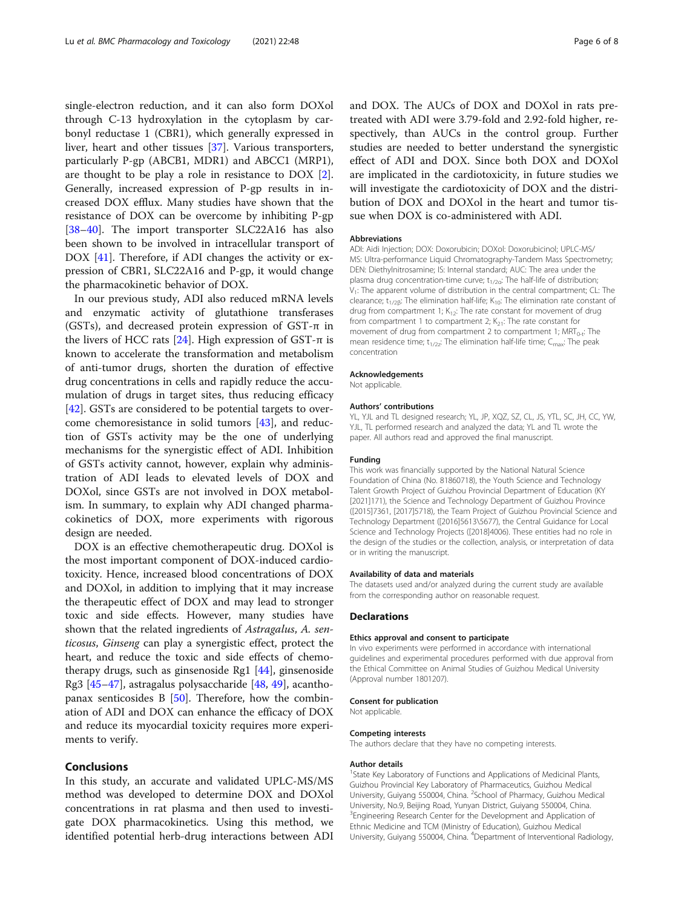single-electron reduction, and it can also form DOXol through C-13 hydroxylation in the cytoplasm by carbonyl reductase 1 (CBR1), which generally expressed in liver, heart and other tissues [\[37](#page-7-0)]. Various transporters, particularly P-gp (ABCB1, MDR1) and ABCC1 (MRP1), are thought to be play a role in resistance to DOX [\[2](#page-6-0)]. Generally, increased expression of P-gp results in increased DOX efflux. Many studies have shown that the resistance of DOX can be overcome by inhibiting P-gp [[38](#page-7-0)–[40](#page-7-0)]. The import transporter SLC22A16 has also been shown to be involved in intracellular transport of DOX [\[41\]](#page-7-0). Therefore, if ADI changes the activity or expression of CBR1, SLC22A16 and P-gp, it would change the pharmacokinetic behavior of DOX.

In our previous study, ADI also reduced mRNA levels and enzymatic activity of glutathione transferases (GSTs), and decreased protein expression of GST-π in the livers of HCC rats  $[24]$  $[24]$ . High expression of GST-π is known to accelerate the transformation and metabolism of anti-tumor drugs, shorten the duration of effective drug concentrations in cells and rapidly reduce the accumulation of drugs in target sites, thus reducing efficacy [[42\]](#page-7-0). GSTs are considered to be potential targets to overcome chemoresistance in solid tumors [[43\]](#page-7-0), and reduction of GSTs activity may be the one of underlying mechanisms for the synergistic effect of ADI. Inhibition of GSTs activity cannot, however, explain why administration of ADI leads to elevated levels of DOX and DOXol, since GSTs are not involved in DOX metabolism. In summary, to explain why ADI changed pharmacokinetics of DOX, more experiments with rigorous design are needed.

DOX is an effective chemotherapeutic drug. DOXol is the most important component of DOX-induced cardiotoxicity. Hence, increased blood concentrations of DOX and DOXol, in addition to implying that it may increase the therapeutic effect of DOX and may lead to stronger toxic and side effects. However, many studies have shown that the related ingredients of Astragalus, A. senticosus, Ginseng can play a synergistic effect, protect the heart, and reduce the toxic and side effects of chemotherapy drugs, such as ginsenoside Rg1 [[44\]](#page-7-0), ginsenoside Rg3 [[45](#page-7-0)–[47](#page-7-0)], astragalus polysaccharide [[48](#page-7-0), [49](#page-7-0)], acanthopanax senticosides B [\[50](#page-7-0)]. Therefore, how the combination of ADI and DOX can enhance the efficacy of DOX and reduce its myocardial toxicity requires more experiments to verify.

#### Conclusions

In this study, an accurate and validated UPLC-MS/MS method was developed to determine DOX and DOXol concentrations in rat plasma and then used to investigate DOX pharmacokinetics. Using this method, we identified potential herb-drug interactions between ADI and DOX. The AUCs of DOX and DOXol in rats pretreated with ADI were 3.79-fold and 2.92-fold higher, respectively, than AUCs in the control group. Further studies are needed to better understand the synergistic effect of ADI and DOX. Since both DOX and DOXol are implicated in the cardiotoxicity, in future studies we will investigate the cardiotoxicity of DOX and the distribution of DOX and DOXol in the heart and tumor tissue when DOX is co-administered with ADI.

#### Abbreviations

ADI: Aidi Injection; DOX: Doxorubicin; DOXol: Doxorubicinol; UPLC-MS/ MS: Ultra-performance Liquid Chromatography-Tandem Mass Spectrometry; DEN: Diethylnitrosamine; IS: Internal standard; AUC: The area under the plasma drug concentration-time curve;  $t_{1/2\alpha}$ : The half-life of distribution; V<sub>1</sub>: The apparent volume of distribution in the central compartment; CL: The clearance;  $t_{1/2\beta}$ : The elimination half-life; K<sub>10</sub>: The elimination rate constant of drug from compartment 1;  $K_{12}$ : The rate constant for movement of drug from compartment 1 to compartment 2;  $K_{21}$ : The rate constant for movement of drug from compartment 2 to compartment 1;  $MRT_{0-t}$ : The mean residence time;  $t_{1/2z}$ . The elimination half-life time;  $C_{\text{max}}$ . The peak concentration

#### Acknowledgements

Not applicable.

#### Authors' contributions

YL, YJL and TL designed research; YL, JP, XQZ, SZ, CL, JS, YTL, SC, JH, CC, YW, YJL, TL performed research and analyzed the data; YL and TL wrote the paper. All authors read and approved the final manuscript.

#### Funding

This work was financially supported by the National Natural Science Foundation of China (No. 81860718), the Youth Science and Technology Talent Growth Project of Guizhou Provincial Department of Education (KY [2021]171), the Science and Technology Department of Guizhou Province ([2015]7361, [2017]5718), the Team Project of Guizhou Provincial Science and Technology Department ([2016]5613\5677), the Central Guidance for Local Science and Technology Projects ([2018]4006). These entities had no role in the design of the studies or the collection, analysis, or interpretation of data or in writing the manuscript.

#### Availability of data and materials

The datasets used and/or analyzed during the current study are available from the corresponding author on reasonable request.

#### Declarations

#### Ethics approval and consent to participate

In vivo experiments were performed in accordance with international guidelines and experimental procedures performed with due approval from the Ethical Committee on Animal Studies of Guizhou Medical University (Approval number 1801207).

#### Consent for publication

Not applicable.

#### Competing interests

The authors declare that they have no competing interests.

#### Author details

<sup>1</sup>State Key Laboratory of Functions and Applications of Medicinal Plants Guizhou Provincial Key Laboratory of Pharmaceutics, Guizhou Medical University, Guiyang 550004, China. <sup>2</sup>School of Pharmacy, Guizhou Medical University, No.9, Beijing Road, Yunyan District, Guiyang 550004, China. <sup>3</sup> Engineering Research Center for the Development and Application of Ethnic Medicine and TCM (Ministry of Education), Guizhou Medical University, Guiyang 550004, China. <sup>4</sup>Department of Interventional Radiology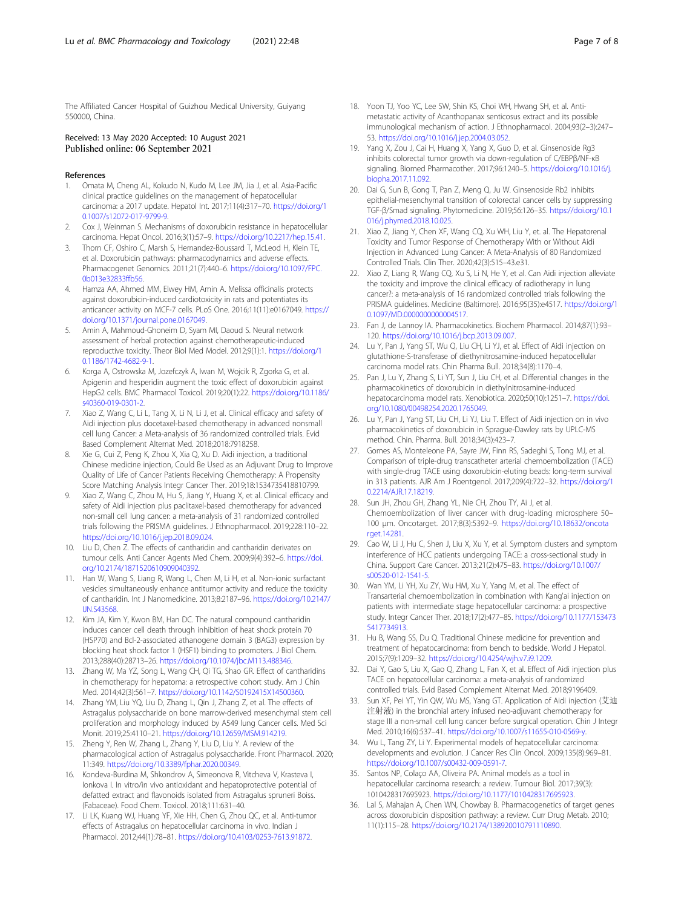<span id="page-6-0"></span>The Affiliated Cancer Hospital of Guizhou Medical University, Guiyang 550000, China.

#### Received: 13 May 2020 Accepted: 10 August 2021 Published online: 06 September 2021

#### References

- 1. Omata M, Cheng AL, Kokudo N, Kudo M, Lee JM, Jia J, et al. Asia-Pacific clinical practice guidelines on the management of hepatocellular carcinoma: a 2017 update. Hepatol Int. 2017;11(4):317–70. [https://doi.org/1](https://doi.org/10.1007/s12072-017-9799-9) [0.1007/s12072-017-9799-9.](https://doi.org/10.1007/s12072-017-9799-9)
- Cox J, Weinman S. Mechanisms of doxorubicin resistance in hepatocellular carcinoma. Hepat Oncol. 2016;3(1):57–9. [https://doi.org/10.2217/hep.15.41.](https://doi.org/10.2217/hep.15.41)
- 3. Thorn CF, Oshiro C, Marsh S, Hernandez-Boussard T, McLeod H, Klein TE, et al. Doxorubicin pathways: pharmacodynamics and adverse effects. Pharmacogenet Genomics. 2011;21(7):440–6. [https://doi.org/10.1097/FPC.](https://doi.org/10.1097/FPC.0b013e32833ffb56) [0b013e32833ffb56](https://doi.org/10.1097/FPC.0b013e32833ffb56).
- 4. Hamza AA, Ahmed MM, Elwey HM, Amin A. Melissa officinalis protects against doxorubicin-induced cardiotoxicity in rats and potentiates its anticancer activity on MCF-7 cells. PLoS One. 2016;11(11):e0167049. [https://](https://doi.org/10.1371/journal.pone.0167049) [doi.org/10.1371/journal.pone.0167049.](https://doi.org/10.1371/journal.pone.0167049)
- 5. Amin A, Mahmoud-Ghoneim D, Syam MI, Daoud S. Neural network assessment of herbal protection against chemotherapeutic-induced reproductive toxicity. Theor Biol Med Model. 2012;9(1):1. [https://doi.org/1](https://doi.org/10.1186/1742-4682-9-1) [0.1186/1742-4682-9-1.](https://doi.org/10.1186/1742-4682-9-1)
- Korga A, Ostrowska M, Jozefczyk A, Iwan M, Wojcik R, Zgorka G, et al. Apigenin and hesperidin augment the toxic effect of doxorubicin against HepG2 cells. BMC Pharmacol Toxicol. 2019;20(1):22. [https://doi.org/10.1186/](https://doi.org/10.1186/s40360-019-0301-2) [s40360-019-0301-2.](https://doi.org/10.1186/s40360-019-0301-2)
- 7. Xiao Z, Wang C, Li L, Tang X, Li N, Li J, et al. Clinical efficacy and safety of Aidi injection plus docetaxel-based chemotherapy in advanced nonsmall cell lung Cancer: a Meta-analysis of 36 randomized controlled trials. Evid Based Complement Alternat Med. 2018;2018:7918258.
- Xie G, Cui Z, Peng K, Zhou X, Xia Q, Xu D. Aidi injection, a traditional Chinese medicine injection, Could Be Used as an Adjuvant Drug to Improve Quality of Life of Cancer Patients Receiving Chemotherapy: A Propensity Score Matching Analysis Integr Cancer Ther. 2019;18:1534735418810799.
- Xiao Z, Wang C, Zhou M, Hu S, Jiang Y, Huang X, et al. Clinical efficacy and safety of Aidi injection plus paclitaxel-based chemotherapy for advanced non-small cell lung cancer: a meta-analysis of 31 randomized controlled trials following the PRISMA guidelines. J Ethnopharmacol. 2019;228:110–22. [https://doi.org/10.1016/j.jep.2018.09.024.](https://doi.org/10.1016/j.jep.2018.09.024)
- 10. Liu D, Chen Z. The effects of cantharidin and cantharidin derivates on tumour cells. Anti Cancer Agents Med Chem. 2009;9(4):392–6. [https://doi.](https://doi.org/10.2174/1871520610909040392) [org/10.2174/1871520610909040392.](https://doi.org/10.2174/1871520610909040392)
- 11. Han W, Wang S, Liang R, Wang L, Chen M, Li H, et al. Non-ionic surfactant vesicles simultaneously enhance antitumor activity and reduce the toxicity of cantharidin. Int J Nanomedicine. 2013;8:2187–96. [https://doi.org/10.2147/](https://doi.org/10.2147/IJN.S43568) [IJN.S43568.](https://doi.org/10.2147/IJN.S43568)
- 12. Kim JA, Kim Y, Kwon BM, Han DC. The natural compound cantharidin induces cancer cell death through inhibition of heat shock protein 70 (HSP70) and Bcl-2-associated athanogene domain 3 (BAG3) expression by blocking heat shock factor 1 (HSF1) binding to promoters. J Biol Chem. 2013;288(40):28713–26. [https://doi.org/10.1074/jbc.M113.488346.](https://doi.org/10.1074/jbc.M113.488346)
- 13. Zhang W, Ma YZ, Song L, Wang CH, Qi TG, Shao GR. Effect of cantharidins in chemotherapy for hepatoma: a retrospective cohort study. Am J Chin Med. 2014;42(3):561–7. [https://doi.org/10.1142/S0192415X14500360.](https://doi.org/10.1142/S0192415X14500360)
- 14. Zhang YM, Liu YQ, Liu D, Zhang L, Qin J, Zhang Z, et al. The effects of Astragalus polysaccharide on bone marrow-derived mesenchymal stem cell proliferation and morphology induced by A549 lung Cancer cells. Med Sci Monit. 2019;25:4110–21. <https://doi.org/10.12659/MSM.914219>.
- 15. Zheng Y, Ren W, Zhang L, Zhang Y, Liu D, Liu Y. A review of the pharmacological action of Astragalus polysaccharide. Front Pharmacol. 2020; 11:349. <https://doi.org/10.3389/fphar.2020.00349>.
- 16. Kondeva-Burdina M, Shkondrov A, Simeonova R, Vitcheva V, Krasteva I, Ionkova I. In vitro/in vivo antioxidant and hepatoprotective potential of defatted extract and flavonoids isolated from Astragalus spruneri Boiss. (Fabaceae). Food Chem. Toxicol. 2018;111:631–40.
- 17. Li LK, Kuang WJ, Huang YF, Xie HH, Chen G, Zhou QC, et al. Anti-tumor effects of Astragalus on hepatocellular carcinoma in vivo. Indian J Pharmacol. 2012;44(1):78–81. <https://doi.org/10.4103/0253-7613.91872>.
- 18. Yoon TJ, Yoo YC, Lee SW, Shin KS, Choi WH, Hwang SH, et al. Antimetastatic activity of Acanthopanax senticosus extract and its possible immunological mechanism of action. J Ethnopharmacol. 2004;93(2–3):247– 53. [https://doi.org/10.1016/j.jep.2004.03.052.](https://doi.org/10.1016/j.jep.2004.03.052)
- 19. Yang X, Zou J, Cai H, Huang X, Yang X, Guo D, et al. Ginsenoside Rg3 inhibits colorectal tumor growth via down-regulation of C/EBPβ/NF-κB signaling. Biomed Pharmacother. 2017;96:1240–5. [https://doi.org/10.1016/j.](https://doi.org/10.1016/j.biopha.2017.11.092) [biopha.2017.11.092.](https://doi.org/10.1016/j.biopha.2017.11.092)
- 20. Dai G, Sun B, Gong T, Pan Z, Meng Q, Ju W. Ginsenoside Rb2 inhibits epithelial-mesenchymal transition of colorectal cancer cells by suppressing TGF-β/Smad signaling. Phytomedicine. 2019;56:126–35. [https://doi.org/10.1](https://doi.org/10.1016/j.phymed.2018.10.025) [016/j.phymed.2018.10.025](https://doi.org/10.1016/j.phymed.2018.10.025).
- 21. Xiao Z, Jiang Y, Chen XF, Wang CQ, Xu WH, Liu Y, et. al. The Hepatorenal Toxicity and Tumor Response of Chemotherapy With or Without Aidi Injection in Advanced Lung Cancer: A Meta-Analysis of 80 Randomized Controlled Trials. Clin Ther. 2020;42(3):515–43.e31.
- 22. Xiao Z, Liang R, Wang CQ, Xu S, Li N, He Y, et al. Can Aidi injection alleviate the toxicity and improve the clinical efficacy of radiotherapy in lung cancer?: a meta-analysis of 16 randomized controlled trials following the PRISMA guidelines. Medicine (Baltimore). 2016;95(35):e4517. [https://doi.org/1](https://doi.org/10.1097/MD.0000000000004517) 0.1097/MD.00000000000004517.
- 23. Fan J, de Lannoy IA. Pharmacokinetics. Biochem Pharmacol. 2014;87(1):93– 120. <https://doi.org/10.1016/j.bcp.2013.09.007>.
- 24. Lu Y, Pan J, Yang ST, Wu Q, Liu CH, Li YJ, et al. Effect of Aidi injection on glutathione-S-transferase of diethynitrosamine-induced hepatocellular carcinoma model rats. Chin Pharma Bull. 2018;34(8):1170–4.
- 25. Pan J, Lu Y, Zhang S, Li YT, Sun J, Liu CH, et al. Differential changes in the pharmacokinetics of doxorubicin in diethylnitrosamine-induced hepatocarcinoma model rats. Xenobiotica. 2020;50(10):1251–7. [https://doi.](https://doi.org/10.1080/00498254.2020.1765049) [org/10.1080/00498254.2020.1765049](https://doi.org/10.1080/00498254.2020.1765049).
- 26. Lu Y, Pan J, Yang ST, Liu CH, Li YJ, Liu T. Effect of Aidi injection on in vivo pharmacokinetics of doxorubicin in Sprague-Dawley rats by UPLC-MS method. Chin. Pharma. Bull. 2018;34(3):423–7.
- 27. Gomes AS, Monteleone PA, Sayre JW, Finn RS, Sadeghi S, Tong MJ, et al. Comparison of triple-drug transcatheter arterial chemoembolization (TACE) with single-drug TACE using doxorubicin-eluting beads: long-term survival in 313 patients. AJR Am J Roentgenol. 2017;209(4):722–32. [https://doi.org/1](https://doi.org/10.2214/AJR.17.18219) [0.2214/AJR.17.18219.](https://doi.org/10.2214/AJR.17.18219)
- 28. Sun JH, Zhou GH, Zhang YL, Nie CH, Zhou TY, Ai J, et al. Chemoembolization of liver cancer with drug-loading microsphere 50– 100 μm. Oncotarget. 2017;8(3):5392–9. [https://doi.org/10.18632/oncota](https://doi.org/10.18632/oncotarget.14281) [rget.14281](https://doi.org/10.18632/oncotarget.14281).
- 29. Cao W, Li J, Hu C, Shen J, Liu X, Xu Y, et al. Symptom clusters and symptom interference of HCC patients undergoing TACE: a cross-sectional study in China. Support Care Cancer. 2013;21(2):475–83. [https://doi.org/10.1007/](https://doi.org/10.1007/s00520-012-1541-5) [s00520-012-1541-5.](https://doi.org/10.1007/s00520-012-1541-5)
- 30. Wan YM, Li YH, Xu ZY, Wu HM, Xu Y, Yang M, et al. The effect of Transarterial chemoembolization in combination with Kang'ai injection on patients with intermediate stage hepatocellular carcinoma: a prospective study. Integr Cancer Ther. 2018;17(2):477–85. [https://doi.org/10.1177/153473](https://doi.org/10.1177/1534735417734913) [5417734913.](https://doi.org/10.1177/1534735417734913)
- 31. Hu B, Wang SS, Du Q. Traditional Chinese medicine for prevention and treatment of hepatocarcinoma: from bench to bedside. World J Hepatol. 2015;7(9):1209–32. [https://doi.org/10.4254/wjh.v7.i9.1209.](https://doi.org/10.4254/wjh.v7.i9.1209)
- 32. Dai Y, Gao S, Liu X, Gao Q, Zhang L, Fan X, et al. Effect of Aidi injection plus TACE on hepatocellular carcinoma: a meta-analysis of randomized controlled trials. Evid Based Complement Alternat Med. 2018;9196409.
- 33. Sun XF, Pei YT, Yin QW, Wu MS, Yang GT. Application of Aidi injection (艾迪 注射液) in the bronchial artery infused neo-adjuvant chemotherapy for stage III a non-small cell lung cancer before surgical operation. Chin J Integr Med. 2010;16(6):537–41. [https://doi.org/10.1007/s11655-010-0569-y.](https://doi.org/10.1007/s11655-010-0569-y)
- 34. Wu L, Tang ZY, Li Y. Experimental models of hepatocellular carcinoma: developments and evolution. J Cancer Res Clin Oncol. 2009;135(8):969–81. <https://doi.org/10.1007/s00432-009-0591-7>.
- 35. Santos NP, Colaço AA, Oliveira PA. Animal models as a tool in hepatocellular carcinoma research: a review. Tumour Biol. 2017;39(3): 1010428317695923. <https://doi.org/10.1177/1010428317695923>.
- 36. Lal S, Mahajan A, Chen WN, Chowbay B. Pharmacogenetics of target genes across doxorubicin disposition pathway: a review. Curr Drug Metab. 2010; 11(1):115–28. <https://doi.org/10.2174/138920010791110890>.